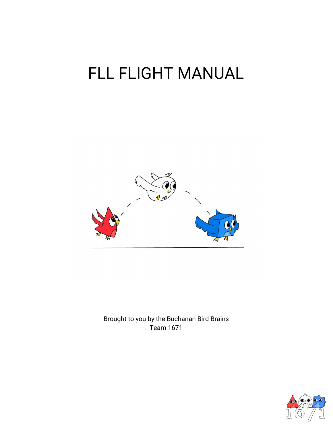# FLL FLIGHT MANUAL



Brought to you by the Buchanan Bird Brains Team 1671

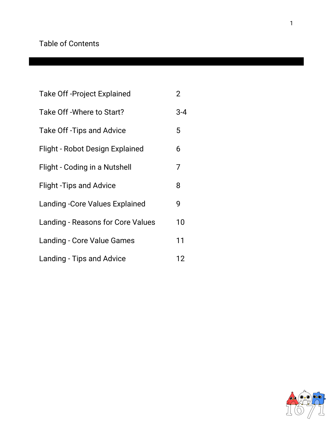### Table of Contents

| <b>Take Off-Project Explained</b>        | $\overline{2}$ |
|------------------------------------------|----------------|
| Take Off - Where to Start?               | $3 - 4$        |
| Take Off-Tips and Advice                 | 5              |
| Flight - Robot Design Explained          | 6              |
| Flight - Coding in a Nutshell            | 7              |
| <b>Flight - Tips and Advice</b>          | 8              |
| <b>Landing - Core Values Explained</b>   | 9              |
| <b>Landing - Reasons for Core Values</b> | 10             |
| <b>Landing - Core Value Games</b>        | 11             |
| Landing - Tips and Advice                | 12             |

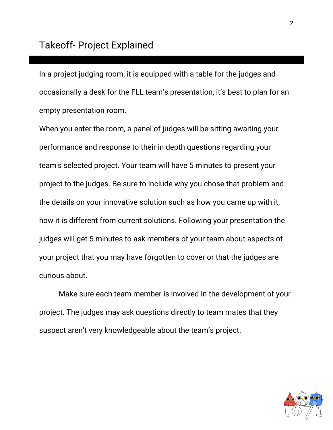In a project judging room, it is equipped with a table for the judges and occasionally a desk for the FLL team's presentation, it's best to plan for an empty presentation room.

When you enter the room, a panel of judges will be sitting awaiting your performance and response to their in depth questions regarding your team's selected project. Your team will have 5 minutes to present your project to the judges. Be sure to include why you chose that problem and the details on your innovative solution such as how you came up with it, how it is different from current solutions. Following your presentation the judges will get 5 minutes to ask members of your team about aspects of your project that you may have forgotten to cover or that the judges are curious about.

Make sure each team member is involved in the development of your project. The judges may ask questions directly to team mates that they suspect aren't very knowledgeable about the team's project.

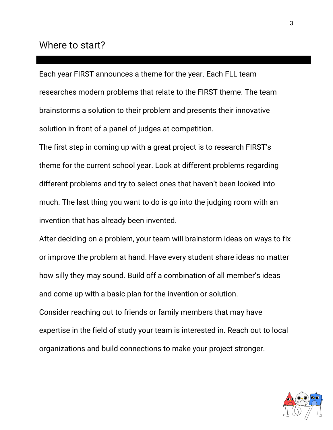### Where to start?

Each year FIRST announces a theme for the year. Each FLL team researches modern problems that relate to the FIRST theme. The team brainstorms a solution to their problem and presents their innovative solution in front of a panel of judges at competition.

The first step in coming up with a great project is to research FIRST's theme for the current school year. Look at different problems regarding different problems and try to select ones that haven't been looked into much. The last thing you want to do is go into the judging room with an invention that has already been invented.

After deciding on a problem, your team will brainstorm ideas on ways to fix or improve the problem at hand. Have every student share ideas no matter how silly they may sound. Build off a combination of all member's ideas and come up with a basic plan for the invention or solution. Consider reaching out to friends or family members that may have expertise in the field of study your team is interested in. Reach out to local organizations and build connections to make your project stronger.

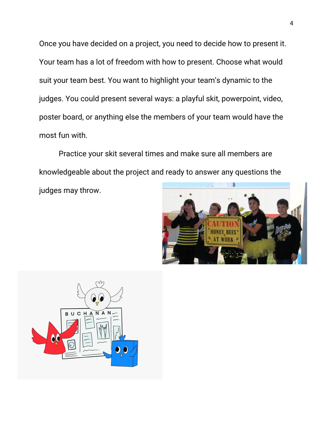Once you have decided on a project, you need to decide how to present it. Your team has a lot of freedom with how to present. Choose what would suit your team best. You want to highlight your team's dynamic to the judges. You could present several ways: a playful skit, powerpoint, video, poster board, or anything else the members of your team would have the most fun with.

Practice your skit several times and make sure all members are knowledgeable about the project and ready to answer any questions the judges may throw.



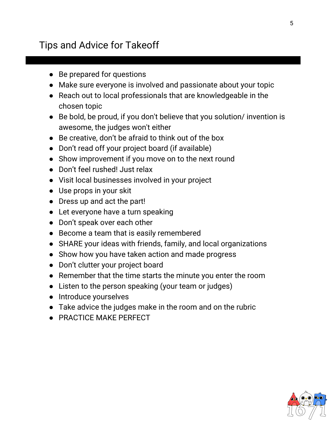# Tips and Advice for Takeoff

- Be prepared for questions
- Make sure everyone is involved and passionate about your topic
- Reach out to local professionals that are knowledgeable in the chosen topic
- Be bold, be proud, if you don't believe that you solution/ invention is awesome, the judges won't either
- Be creative, don't be afraid to think out of the box
- Don't read off your project board (if available)
- Show improvement if you move on to the next round
- Don't feel rushed! Just relax
- Visit local businesses involved in your project
- Use props in your skit
- Dress up and act the part!
- Let everyone have a turn speaking
- Don't speak over each other
- Become a team that is easily remembered
- SHARE your ideas with friends, family, and local organizations
- Show how you have taken action and made progress
- Don't clutter your project board
- Remember that the time starts the minute you enter the room
- Listen to the person speaking (your team or judges)
- Introduce yourselves
- Take advice the judges make in the room and on the rubric
- PRACTICE MAKE PERFECT

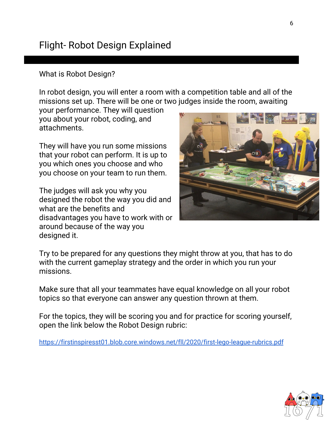# Flight- Robot Design Explained

#### What is Robot Design?

In robot design, you will enter a room with a competition table and all of the missions set up. There will be one or two judges inside the room, awaiting

your performance. They will question you about your robot, coding, and attachments.

They will have you run some missions that your robot can perform. It is up to you which ones you choose and who you choose on your team to run them.

The judges will ask you why you designed the robot the way you did and what are the benefits and disadvantages you have to work with or around because of the way you designed it.



Try to be prepared for any questions they might throw at you, that has to do with the current gameplay strategy and the order in which you run your missions.

Make sure that all your teammates have equal knowledge on all your robot topics so that everyone can answer any question thrown at them.

For the topics, they will be scoring you and for practice for scoring yourself, open the link below the Robot Design rubric:

<https://firstinspiresst01.blob.core.windows.net/fll/2020/first-lego-league-rubrics.pdf>

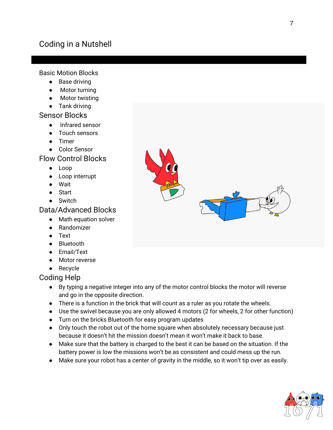## Coding in a Nutshell

Basic Motion Blocks

- Base driving
- Motor turning
- Motor twisting
- Tank driving

#### Sensor Blocks

- Infrared sensor
- Touch sensors
- Timer
- Color Sensor

#### Flow Control Blocks

- Loop
- Loop interrupt
- Wait
- Start
- Switch

#### Data/Advanced Blocks

- Math equation solver
- Randomizer
- Text
- Bluetooth
- Email/Text
- Motor reverse
- Recycle

#### Coding Help

- By typing a negative integer into any of the motor control blocks the motor will reverse and go in the opposite direction.
- There is a function in the brick that will count as a ruler as you rotate the wheels.
- Use the swivel because you are only allowed 4 motors (2 for wheels, 2 for other function)
- Turn on the bricks Bluetooth for easy program updates
- Only touch the robot out of the home square when absolutely necessary because just because it doesn't hit the mission doesn't mean it won't make it back to base.
- Make sure that the battery is charged to the best it can be based on the situation. If the battery power is low the missions won't be as consistent and could mess up the run.
- Make sure your robot has a center of gravity in the middle, so it won't tip over as easily.



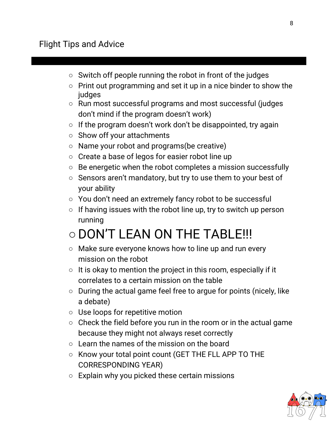## Flight Tips and Advice

- Switch off people running the robot in front of the judges
- Print out programming and set it up in a nice binder to show the judges
- Run most successful programs and most successful (judges don't mind if the program doesn't work)
- $\circ$  If the program doesn't work don't be disappointed, try again
- Show off your attachments
- Name your robot and programs(be creative)
- Create a base of legos for easier robot line up
- Be energetic when the robot completes a mission successfully
- Sensors aren't mandatory, but try to use them to your best of your ability
- You don't need an extremely fancy robot to be successful
- $\circ$  If having issues with the robot line up, try to switch up person running

# ○DON'T LEAN ON THE TABLE!!!

- Make sure everyone knows how to line up and run every mission on the robot
- $\circ$  It is okay to mention the project in this room, especially if it correlates to a certain mission on the table
- During the actual game feel free to argue for points (nicely, like a debate)
- Use loops for repetitive motion
- $\circ$  Check the field before you run in the room or in the actual game because they might not always reset correctly
- Learn the names of the mission on the board
- Know your total point count (GET THE FLL APP TO THE CORRESPONDING YEAR)
- $\circ$  Explain why you picked these certain missions

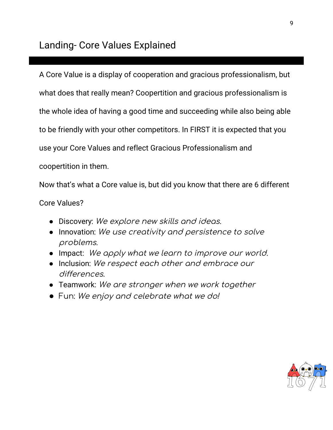A Core Value is a display of cooperation and gracious professionalism, but what does that really mean? Coopertition and gracious professionalism is the whole idea of having a good time and succeeding while also being able to be friendly with your other competitors. In FIRST it is expected that you use your Core Values and reflect Gracious Professionalism and coopertition in them.

Now that's what a Core value is, but did you know that there are 6 different

Core Values?

- Discovery: We explore new skills and ideas.
- Innovation: We use creativity and persistence to solve problems.
- Impact: We apply what we learn to improve our world.
- Inclusion: We respect each other and embrace our differences.
- Teamwork: We are stronger when we work together
- *●* Fun: We enjoy and celebrate what we do!

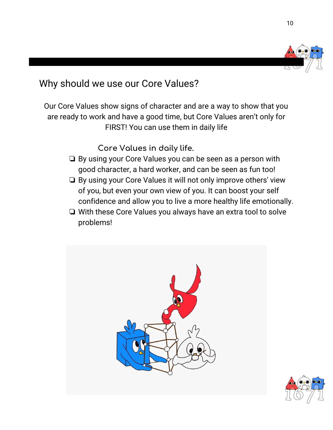

Why should we use our Core Values?

Our Core Values show signs of character and are a way to show that you are ready to work and have a good time, but Core Values aren't only for FIRST! You can use them in daily life

**Core Values in daily life.**

- ❏ By using your Core Values you can be seen as a person with good character, a hard worker, and can be seen as fun too!
- ❏ By using your Core Values it will not only improve others' view of you, but even your own view of you. It can boost your self confidence and allow you to live a more healthy life emotionally.
- ❏ With these Core Values you always have an extra tool to solve problems!



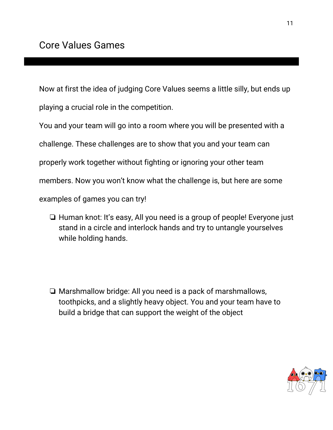Now at first the idea of judging Core Values seems a little silly, but ends up playing a crucial role in the competition.

You and your team will go into a room where you will be presented with a

challenge. These challenges are to show that you and your team can

properly work together without fighting or ignoring your other team

members. Now you won't know what the challenge is, but here are some

examples of games you can try!

❏ Human knot: It's easy, All you need is a group of people! Everyone just stand in a circle and interlock hands and try to untangle yourselves while holding hands.

❏ Marshmallow bridge: All you need is a pack of marshmallows, toothpicks, and a slightly heavy object. You and your team have to build a bridge that can support the weight of the object